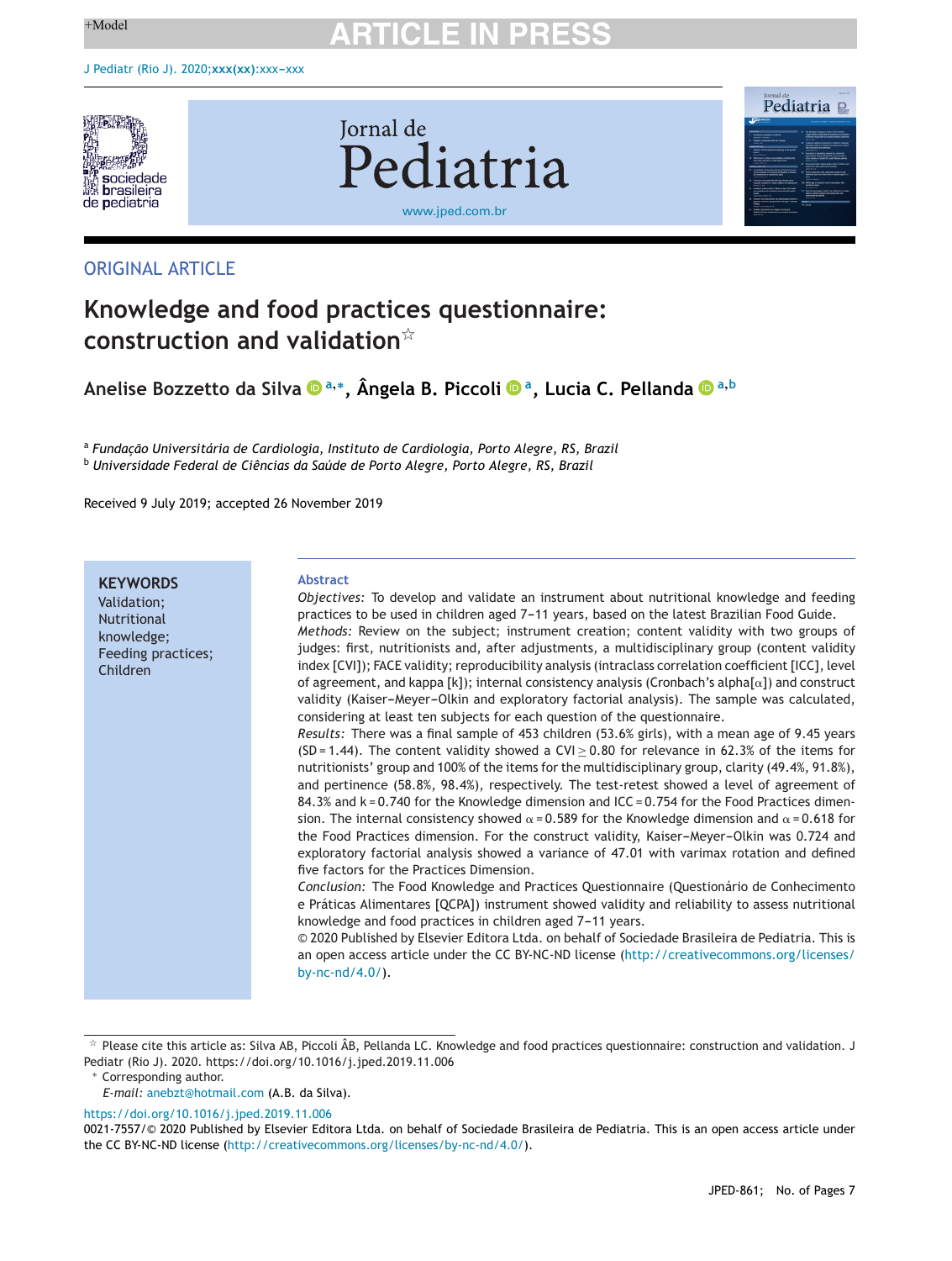

**Iornal** de Pediatria [www.jped.com.br](http://www.jped.com.br)

## ORIGINAL ARTICLE

## **Knowledge and food practices questionnaire: construction and validation**-

**Anelise Bozzetto da Silva <sup>a</sup>,∗, Ângela B. Piccoli a, Lucia C. Pellanda <sup>a</sup>,<sup>b</sup>**

<sup>a</sup> *Fundac¸ão Universitária de Cardiologia, Instituto de Cardiologia, Porto Alegre, RS, Brazil* <sup>b</sup> *Universidade Federal de Ciências da Saúde de Porto Alegre, Porto Alegre, RS, Brazil*

Received 9 July 2019; accepted 26 November 2019

**KEYWORDS** Validation; Nutritional knowledge; Feeding practices;

Children

#### **Abstract**

*Objectives:* To develop and validate an instrument about nutritional knowledge and feeding practices to be used in children aged 7-11 years, based on the latest Brazilian Food Guide. *Methods:* Review on the subject; instrument creation; content validity with two groups of judges: first, nutritionists and, after adjustments, a multidisciplinary group (content validity index [CVI]); FACE validity; reproducibility analysis (intraclass correlation coefficient [ICC], level of agreement, and kappa [k]); internal consistency analysis (Cronbach's alpha[ $\alpha$ ]) and construct validity (Kaiser-Meyer-Olkin and exploratory factorial analysis). The sample was calculated, considering at least ten subjects for each question of the questionnaire.

*Results:* There was a final sample of 453 children (53.6% girls), with a mean age of 9.45 years (SD = 1.44). The content validity showed a CVI  $> 0.80$  for relevance in 62.3% of the items for nutritionists' group and 100% of the items for the multidisciplinary group, clarity (49.4%, 91.8%), and pertinence (58.8%, 98.4%), respectively. The test-retest showed a level of agreement of 84.3% and k = 0.740 for the Knowledge dimension and ICC = 0.754 for the Food Practices dimension. The internal consistency showed  $\alpha$  = 0.589 for the Knowledge dimension and  $\alpha$  = 0.618 for the Food Practices dimension. For the construct validity, Kaiser-Meyer-Olkin was 0.724 and exploratory factorial analysis showed a variance of 47.01 with varimax rotation and defined five factors for the Practices Dimension.

*Conclusion:* The Food Knowledge and Practices Questionnaire (Questionário de Conhecimento e Práticas Alimentares [QCPA]) instrument showed validity and reliability to assess nutritional knowledge and food practices in children aged 7-11 years.

© 2020 Published by Elsevier Editora Ltda. on behalf of Sociedade Brasileira de Pediatria. This is an open access article under the CC BY-NC-ND license [\(http://creativecommons.org/licenses/](http://creativecommons.org/licenses/by-nc-nd/4.0/) [by-nc-nd/4.0/](http://creativecommons.org/licenses/by-nc-nd/4.0/)).

∗ Corresponding author.

<https://doi.org/10.1016/j.jped.2019.11.006>

Dormal de **Pediatria** 

t, Please cite this article as: Silva AB, Piccoli ÂB, Pellanda LC. Knowledge and food practices questionnaire: construction and validation. J Pediatr (Rio J). 2020. https://doi.org/10.1016/j.jped.2019.11.006

*E-mail:* [anebzt@hotmail.com](mailto:anebzt@hotmail.com) (A.B. da Silva).

<sup>0021-7557/©</sup> 2020 Published by Elsevier Editora Ltda. on behalf of Sociedade Brasileira de Pediatria. This is an open access article under the CC BY-NC-ND license ([http://creativecommons.org/licenses/by-nc-nd/4.0/\)](http://creativecommons.org/licenses/by-nc-nd/4.0/).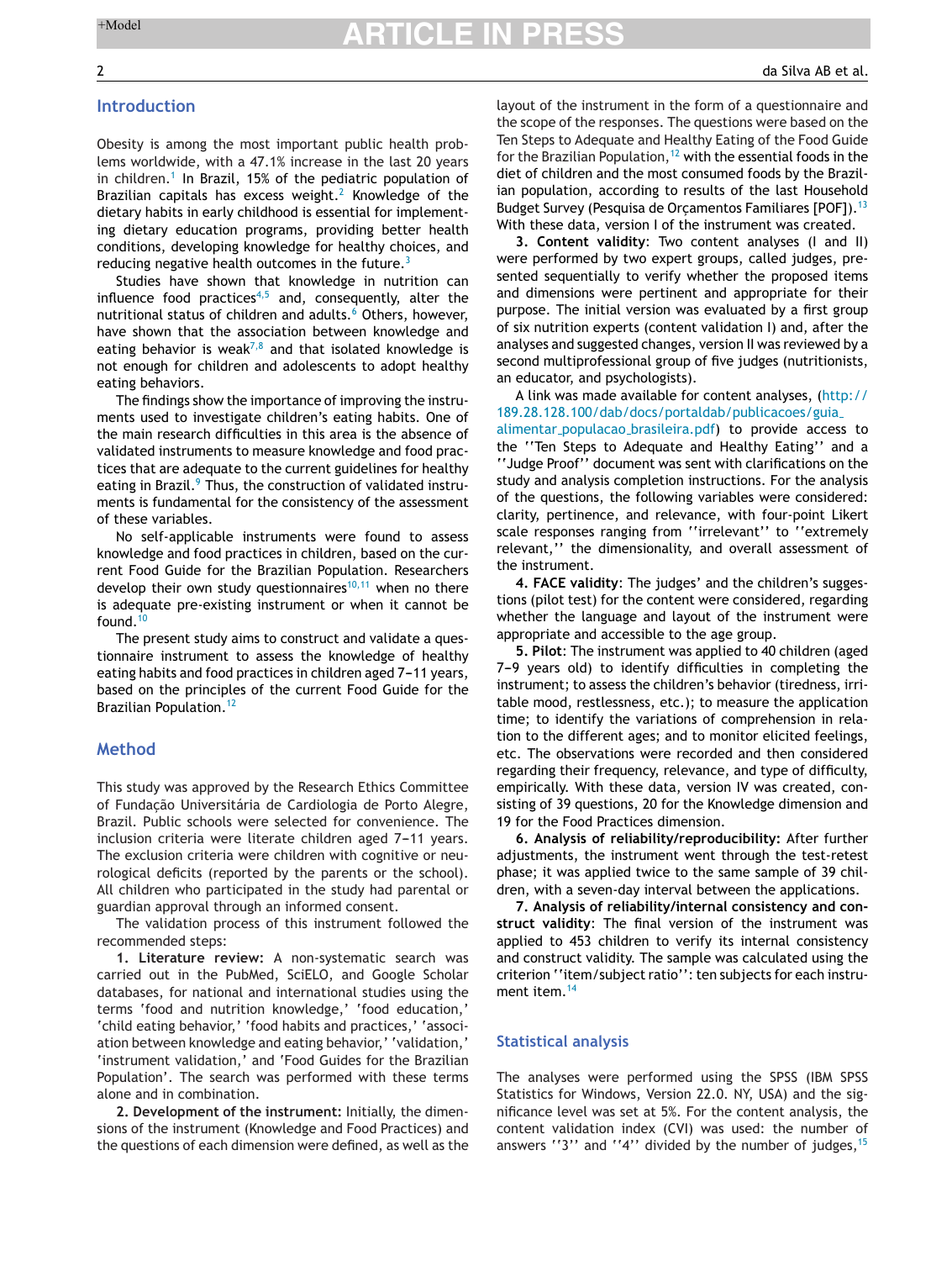## **Introduction**

Obesity is among the most important public health problems worldwide, with a 47.1% increase in the last 20 years in children.<sup>[1](#page-6-0)</sup> In Brazil, 15% of the pediatric population of Brazilian capitals has excess weight.<sup>[2](#page-6-0)</sup> Knowledge of the dietary habits in early childhood is essential for implementing dietary education programs, providing better health conditions, developing knowledge for healthy choices, and reducing negative health outcomes in the future. $3$ 

Studies have shown that knowledge in nutrition can influence food practices<sup>[4,5](#page-6-0)</sup> and, consequently, alter the nutritional status of children and adults.<sup>[6](#page-6-0)</sup> Others, however, have shown that the association between knowledge and eating behavior is weak<sup>[7,8](#page-6-0)</sup> and that isolated knowledge is not enough for children and adolescents to adopt healthy eating behaviors.

The findings show the importance of improving the instruments used to investigate children's eating habits. One of the main research difficulties in this area is the absence of validated instruments to measure knowledge and food practices that are adequate to the current guidelines for healthy eating in Brazil.<sup>9</sup> [T](#page-6-0)hus, the construction of validated instruments is fundamental for the consistency of the assessment of these variables.

No self-applicable instruments were found to assess knowledge and food practices in children, based on the current Food Guide for the Brazilian Population. Researchers develop their own study questionnaires<sup>[10,11](#page-6-0)</sup> when no there is adequate pre-existing instrument or when it cannot be found. $10$ 

The present study aims to construct and validate a questionnaire instrument to assess the knowledge of healthy eating habits and food practices in children aged 7-11 years, based on the principles of the current Food Guide for the Brazilian Population.<sup>[12](#page-6-0)</sup>

### **Method**

This study was approved by the Research Ethics Committee of Fundacão Universitária de Cardiologia de Porto Alegre, Brazil. Public schools were selected for convenience. The inclusion criteria were literate children aged 7-11 years. The exclusion criteria were children with cognitive or neurological deficits (reported by the parents or the school). All children who participated in the study had parental or guardian approval through an informed consent.

The validation process of this instrument followed the recommended steps:

**1. Literature review:** A non-systematic search was carried out in the PubMed, SciELO, and Google Scholar databases, for national and international studies using the terms 'food and nutrition knowledge,' 'food education,' 'child eating behavior,' 'food habits and practices,' 'association between knowledge and eating behavior,' 'validation,' 'instrument validation,' and 'Food Guides for the Brazilian Population'. The search was performed with these terms alone and in combination.

**2. Development of the instrument:** Initially, the dimensions of the instrument (Knowledge and Food Practices) and the questions of each dimension were defined, as well as the layout of the instrument in the form of a questionnaire and the scope of the responses. The questions were based on the Ten Steps to Adequate and Healthy Eating of the Food Guide for the Brazilian Population,  $12$  with the essential foods in the diet of children and the most consumed foods by the Brazilian population, according to results of the last Household Budget Survey (Pesquisa de Orcamentos Familiares [POF]).<sup>[13](#page-6-0)</sup> With these data, version I of the instrument was created.

**3. Content validity**: Two content analyses (I and II) were performed by two expert groups, called judges, presented sequentially to verify whether the proposed items and dimensions were pertinent and appropriate for their purpose. The initial version was evaluated by a first group of six nutrition experts (content validation I) and, after the analyses and suggested changes, version II was reviewed by a second multiprofessional group of five judges (nutritionists, an educator, and psychologists).

A link was made available for content analyses, [\(http://](http://189.28.128.100/dab/docs/portaldab/publicacoes/guia_alimentar_populacao_brasileira.pdf) [189.28.128.100/dab/docs/portaldab/publicacoes/guia](http://189.28.128.100/dab/docs/portaldab/publicacoes/guia_alimentar_populacao_brasileira.pdf) alimentar populacao [brasileira.pdf\)](http://189.28.128.100/dab/docs/portaldab/publicacoes/guia_alimentar_populacao_brasileira.pdf) to provide access to the ''Ten Steps to Adequate and Healthy Eating'' and a ''Judge Proof'' document was sent with clarifications on the study and analysis completion instructions. For the analysis of the questions, the following variables were considered: clarity, pertinence, and relevance, with four-point Likert scale responses ranging from ''irrelevant'' to ''extremely relevant,'' the dimensionality, and overall assessment of the instrument.

**4. FACE validity**: The judges' and the children's suggestions (pilot test) for the content were considered, regarding whether the language and layout of the instrument were appropriate and accessible to the age group.

**5. Pilot**: The instrument was applied to 40 children (aged 7-9 years old) to identify difficulties in completing the instrument; to assess the children's behavior (tiredness, irritable mood, restlessness, etc.); to measure the application time; to identify the variations of comprehension in relation to the different ages; and to monitor elicited feelings, etc. The observations were recorded and then considered regarding their frequency, relevance, and type of difficulty, empirically. With these data, version IV was created, consisting of 39 questions, 20 for the Knowledge dimension and 19 for the Food Practices dimension.

**6. Analysis of reliability/reproducibility:** After further adjustments, the instrument went through the test-retest phase; it was applied twice to the same sample of 39 children, with a seven-day interval between the applications.

**7. Analysis of reliability/internal consistency and construct validity**: The final version of the instrument was applied to 453 children to verify its internal consistency and construct validity. The sample was calculated using the criterion ''item/subject ratio'': ten subjects for each instru-ment item.<sup>[14](#page-6-0)</sup>

#### **Statistical analysis**

The analyses were performed using the SPSS (IBM SPSS Statistics for Windows, Version 22.0. NY, USA) and the significance level was set at 5%. For the content analysis, the content validation index (CVI) was used: the number of answers "3" and "4" divided by the number of judges,  $15$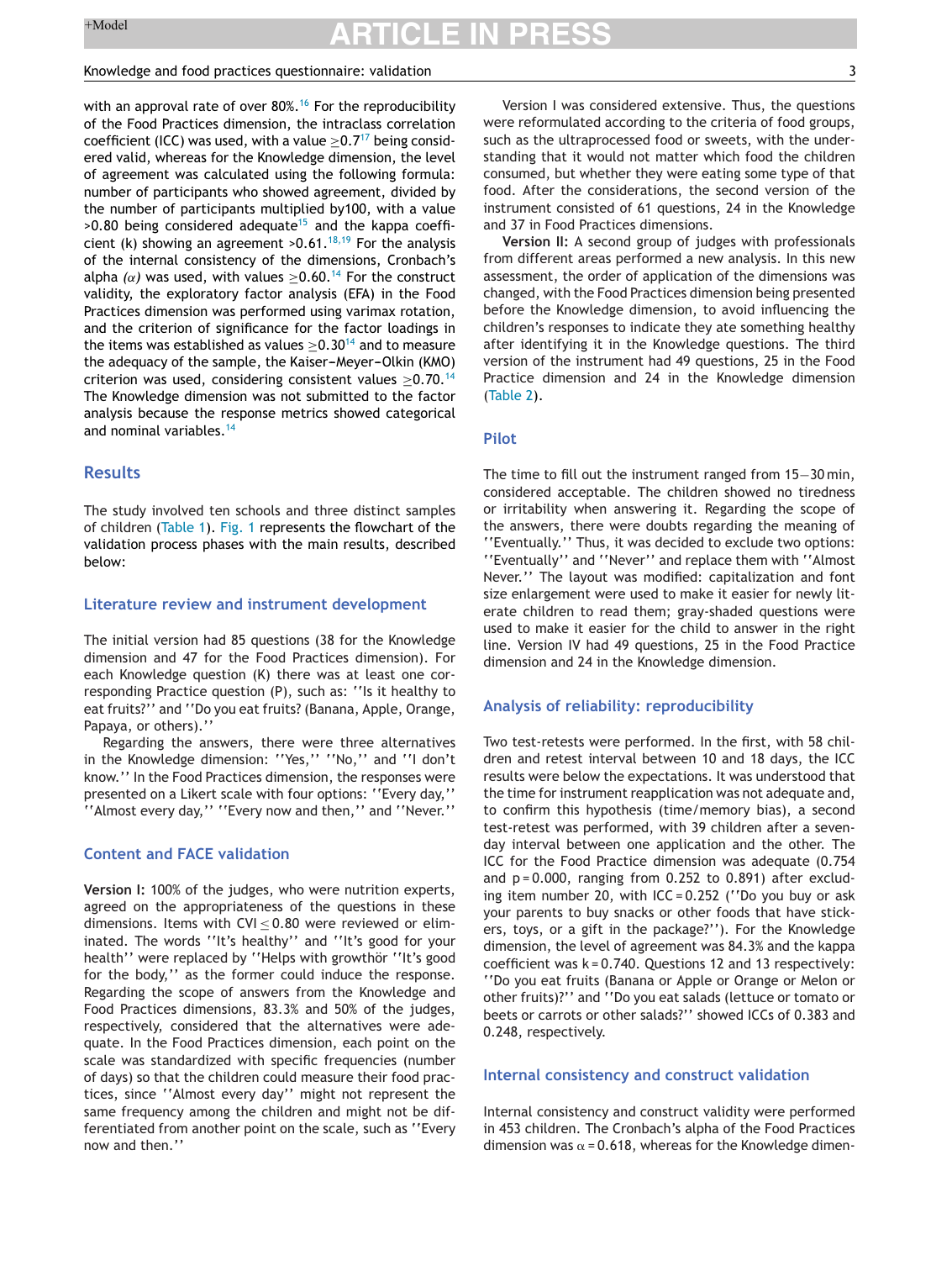#### Knowledge and food practices questionnaire: validation 3

with an approval rate of over  $80\%$ .<sup>[16](#page-6-0)</sup> For the reproducibility of the Food Practices dimension, the intraclass correlation coefficient (ICC) was used, with a value  $>0.7<sup>17</sup>$  $>0.7<sup>17</sup>$  $>0.7<sup>17</sup>$  being considered valid, whereas for the Knowledge dimension, the level of agreement was calculated using the following formula: number of participants who showed agreement, divided by the number of participants multiplied by100, with a value  $>0.80$  being considered adequate<sup>[15](#page-6-0)</sup> and the kappa coefficient (k) showing an agreement  $>0.61$ .<sup>[18,19](#page-6-0)</sup> For the analysis of the internal consistency of the dimensions, Cronbach's alpha  $(\alpha)$  was used, with values  $\geq$ 0.60.<sup>[14](#page-6-0)</sup> For the construct validity, the exploratory factor analysis (EFA) in the Food Practices dimension was performed using varimax rotation, and the criterion of significance for the factor loadings in the items was established as values  $\geq$ 0.30<sup>[14](#page-6-0)</sup> and to measure the adequacy of the sample, the Kaiser-Meyer-Olkin (KMO) criterion was used, considering consistent values  $>0.70$ .<sup>[14](#page-6-0)</sup> The Knowledge dimension was not submitted to the factor analysis because the response metrics showed categorical and nominal variables.<sup>[14](#page-6-0)</sup>

## **Results**

The study involved ten schools and three distinct samples of children [\(Table](#page-3-0) 1). [Fig.](#page-4-0) 1 represents the flowchart of the validation process phases with the main results, described below:

#### **Literature review and instrument development**

The initial version had 85 questions (38 for the Knowledge dimension and 47 for the Food Practices dimension). For each Knowledge question (K) there was at least one corresponding Practice question (P), such as: ''Is it healthy to eat fruits?'' and ''Do you eat fruits? (Banana, Apple, Orange, Papaya, or others).''

Regarding the answers, there were three alternatives in the Knowledge dimension: ''Yes,'' ''No,'' and ''I don't know.'' In the Food Practices dimension, the responses were presented on a Likert scale with four options: ''Every day,'' ''Almost every day,'' ''Every now and then,'' and ''Never.''

## **Content and FACE validation**

**Version I:** 100% of the judges, who were nutrition experts, agreed on the appropriateness of the questions in these dimensions. Items with CVI $\leq$  0.80 were reviewed or eliminated. The words ''It's healthy'' and ''It's good for your health" were replaced by "Helps with growthör "It's good for the body,'' as the former could induce the response. Regarding the scope of answers from the Knowledge and Food Practices dimensions, 83.3% and 50% of the judges, respectively, considered that the alternatives were adequate. In the Food Practices dimension, each point on the scale was standardized with specific frequencies (number of days) so that the children could measure their food practices, since ''Almost every day'' might not represent the same frequency among the children and might not be differentiated from another point on the scale, such as ''Every now and then.''

Version I was considered extensive. Thus, the questions were reformulated according to the criteria of food groups, such as the ultraprocessed food or sweets, with the understanding that it would not matter which food the children consumed, but whether they were eating some type of that food. After the considerations, the second version of the instrument consisted of 61 questions, 24 in the Knowledge and 37 in Food Practices dimensions.

**Version II:** A second group of judges with professionals from different areas performed a new analysis. In this new assessment, the order of application of the dimensions was changed, with the Food Practices dimension being presented before the Knowledge dimension, to avoid influencing the children's responses to indicate they ate something healthy after identifying it in the Knowledge questions. The third version of the instrument had 49 questions, 25 in the Food Practice dimension and 24 in the Knowledge dimension ([Table](#page-3-0) 2).

### **Pilot**

The time to fill out the instrument ranged from 15−30 min, considered acceptable. The children showed no tiredness or irritability when answering it. Regarding the scope of the answers, there were doubts regarding the meaning of ''Eventually.'' Thus, it was decided to exclude two options: ''Eventually'' and ''Never'' and replace them with ''Almost Never.'' The layout was modified: capitalization and font size enlargement were used to make it easier for newly literate children to read them; gray-shaded questions were used to make it easier for the child to answer in the right line. Version IV had 49 questions, 25 in the Food Practice dimension and 24 in the Knowledge dimension.

### **Analysis of reliability: reproducibility**

Two test-retests were performed. In the first, with 58 children and retest interval between 10 and 18 days, the ICC results were below the expectations. It was understood that the time for instrument reapplication was not adequate and, to confirm this hypothesis (time/memory bias), a second test-retest was performed, with 39 children after a sevenday interval between one application and the other. The ICC for the Food Practice dimension was adequate (0.754 and  $p = 0.000$ , ranging from  $0.252$  to  $0.891$ ) after excluding item number 20, with ICC = 0.252 (''Do you buy or ask your parents to buy snacks or other foods that have stickers, toys, or a gift in the package?''). For the Knowledge dimension, the level of agreement was 84.3% and the kappa coefficient was  $k = 0.740$ . Questions 12 and 13 respectively: ''Do you eat fruits (Banana or Apple or Orange or Melon or other fruits)?'' and ''Do you eat salads (lettuce or tomato or beets or carrots or other salads?'' showed ICCs of 0.383 and 0.248, respectively.

### **Internal consistency and construct validation**

Internal consistency and construct validity were performed in 453 children. The Cronbach's alpha of the Food Practices dimension was  $\alpha$  = 0.618, whereas for the Knowledge dimen-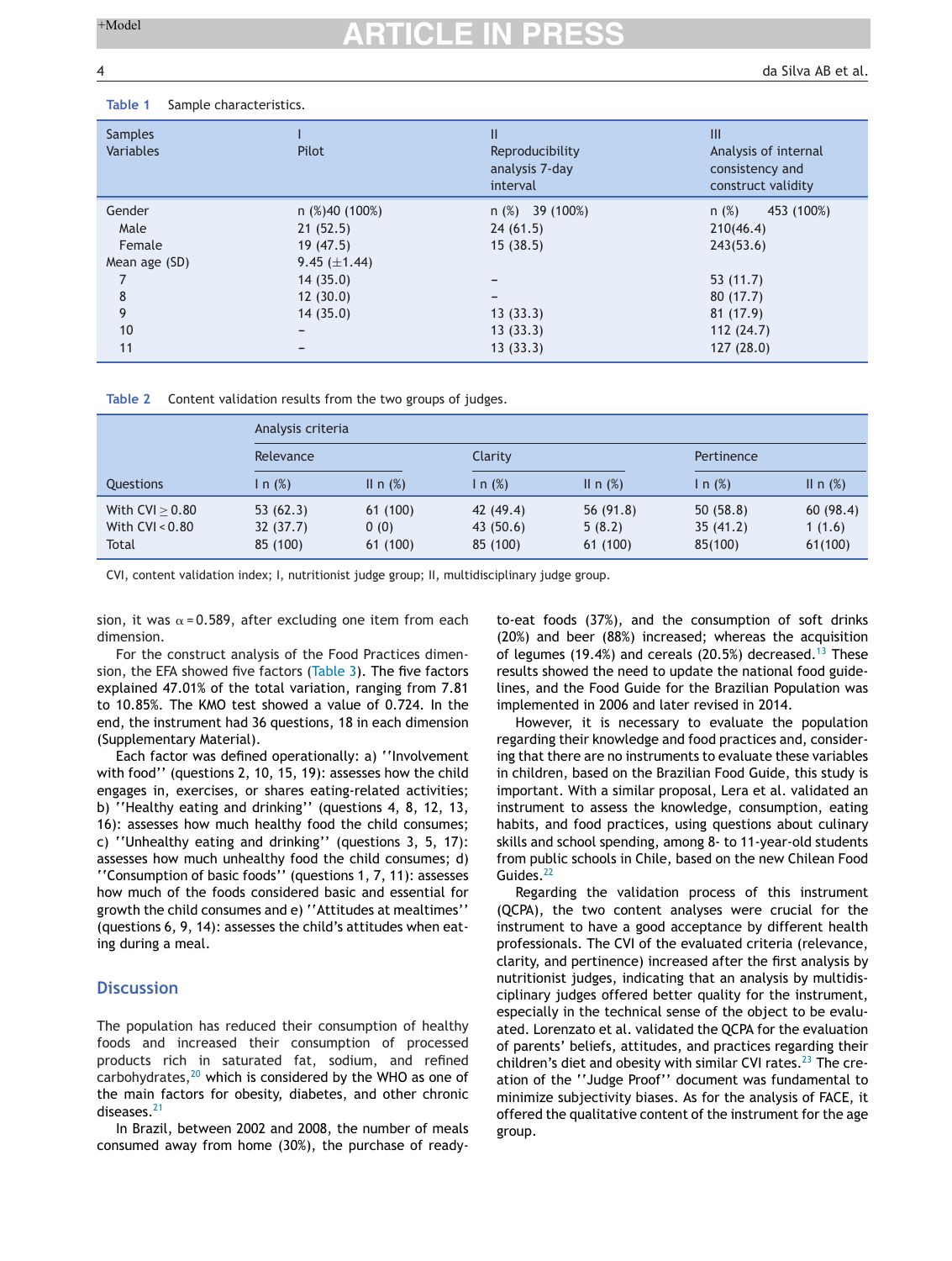da Silva AB et al.

### <span id="page-3-0"></span>**Table 1** Sample characteristics.

| <b>Samples</b><br>Variables                                     | Pilot                                                                                             | Ш<br>Reproducibility<br>analysis 7-day<br>interval                                                             | III<br>Analysis of internal<br>consistency and<br>construct validity                                          |  |  |
|-----------------------------------------------------------------|---------------------------------------------------------------------------------------------------|----------------------------------------------------------------------------------------------------------------|---------------------------------------------------------------------------------------------------------------|--|--|
| Gender<br>Male<br>Female<br>Mean age (SD)<br>8<br>9<br>10<br>11 | $n$ (%)40 (100%)<br>21(52.5)<br>19(47.5)<br>9.45 $(\pm 1.44)$<br>14(35.0)<br>12(30.0)<br>14(35.0) | $n$ (%) 39 (100%)<br>24(61.5)<br>15(38.5)<br>$\overline{\phantom{a}}$<br>-<br>13(33.3)<br>13(33.3)<br>13(33.3) | $n$ (%)<br>453 (100%)<br>210(46.4)<br>243(53.6)<br>53(11.7)<br>80(17.7)<br>81(17.9)<br>112(24.7)<br>127(28.0) |  |  |
|                                                                 |                                                                                                   |                                                                                                                |                                                                                                               |  |  |

**Table 2** Content validation results from the two groups of judges.

|                                                 | Analysis criteria                |                             |                                   |                                   |                                 |                               |  |
|-------------------------------------------------|----------------------------------|-----------------------------|-----------------------------------|-----------------------------------|---------------------------------|-------------------------------|--|
|                                                 | Relevance                        |                             | Clarity                           |                                   | Pertinence                      |                               |  |
| Questions                                       | In $(\%)$                        | II n $(%)$                  | n(%)                              | II n $(%)$                        | In $(\%)$                       | II n $(\%)$                   |  |
| With $CVI > 0.80$<br>With $CVI < 0.80$<br>Total | 53(62.3)<br>32(37.7)<br>85 (100) | 61(100)<br>0(0)<br>61 (100) | 42 (49.4)<br>43(50.6)<br>85 (100) | 56 $(91.8)$<br>5(8.2)<br>61 (100) | 50(58.8)<br>35(41.2)<br>85(100) | 60(98.4)<br>1(1.6)<br>61(100) |  |

CVI, content validation index; I, nutritionist judge group; II, multidisciplinary judge group.

sion, it was  $\alpha$  = 0.589, after excluding one item from each dimension.

For the construct analysis of the Food Practices dimension, the EFA showed five factors [\(Table](#page-5-0) 3). The five factors explained 47.01% of the total variation, ranging from 7.81 to 10.85%. The KMO test showed a value of 0.724. In the end, the instrument had 36 questions, 18 in each dimension (Supplementary Material).

Each factor was defined operationally: a) ''Involvement with food'' (questions 2, 10, 15, 19): assesses how the child engages in, exercises, or shares eating-related activities; b) ''Healthy eating and drinking'' (questions 4, 8, 12, 13, 16): assesses how much healthy food the child consumes; c) ''Unhealthy eating and drinking'' (questions 3, 5, 17): assesses how much unhealthy food the child consumes; d) ''Consumption of basic foods'' (questions 1, 7, 11): assesses how much of the foods considered basic and essential for growth the child consumes and e) ''Attitudes at mealtimes'' (questions 6, 9, 14): assesses the child's attitudes when eating during a meal.

## **Discussion**

The population has reduced their consumption of healthy foods and increased their consumption of processed products rich in saturated fat, sodium, and refined carbohydrates, $20$  which is considered by the WHO as one of the main factors for obesity, diabetes, and other chronic diseases.<sup>[21](#page-6-0)</sup>

In Brazil, between 2002 and 2008, the number of meals consumed away from home (30%), the purchase of readyto-eat foods (37%), and the consumption of soft drinks (20%) and beer (88%) increased; whereas the acquisition of legumes (19.4%) and cereals (20.5%) decreased.<sup>[13](#page-6-0)</sup> These results showed the need to update the national food guidelines, and the Food Guide for the Brazilian Population was implemented in 2006 and later revised in 2014.

However, it is necessary to evaluate the population regarding their knowledge and food practices and, considering that there are no instruments to evaluate these variables in children, based on the Brazilian Food Guide, this study is important. With a similar proposal, Lera et al. validated an instrument to assess the knowledge, consumption, eating habits, and food practices, using questions about culinary skills and school spending, among 8- to 11-year-old students from public schools in Chile, based on the new Chilean Food Guides.<sup>[22](#page-6-0)</sup>

Regarding the validation process of this instrument (QCPA), the two content analyses were crucial for the instrument to have a good acceptance by different health professionals. The CVI of the evaluated criteria (relevance, clarity, and pertinence) increased after the first analysis by nutritionist judges, indicating that an analysis by multidisciplinary judges offered better quality for the instrument, especially in the technical sense of the object to be evaluated. Lorenzato et al. validated the QCPA for the evaluation of parents' beliefs, attitudes, and practices regarding their children's diet and obesity with similar CVI rates. $^{23}$  $^{23}$  $^{23}$  The creation of the ''Judge Proof'' document was fundamental to minimize subjectivity biases. As for the analysis of FACE, it offered the qualitative content of the instrument for the age group.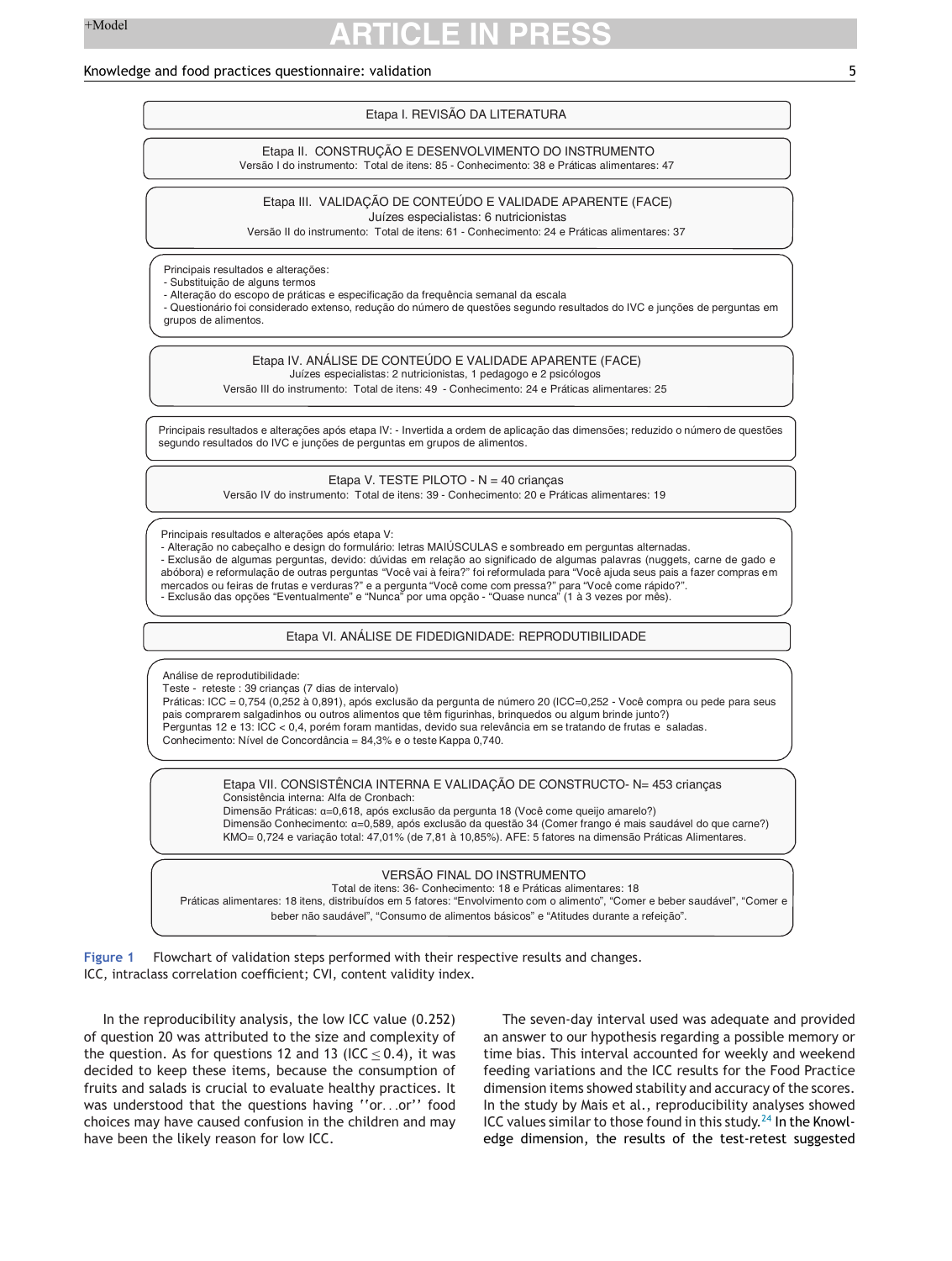### <span id="page-4-0"></span>Knowledge and food practices questionnaire: validation 5

## Etapa I. REVISÃO DA LITERATURA

Etapa II. CONSTRUÇÃO E DESENVOLVIMENTO DO INSTRUMENTO Versão I do instrumento: Total de itens: 85 - Conhecimento: 38 e Práticas alimentares: 47

#### Etapa III. VALIDAÇÃO DE CONTEÚDO E VALIDADE APARENTE (FACE) Juízes especialistas: 6 nutricionistas

Versão II do instrumento: Total de itens: 61 - Conhecimento: 24 e Práticas alimentares: 37

Principais resultados e alterações:

- Substituição de alguns termos

- Alteração do escopo de práticas e especificação da frequência semanal da escala

- Questionário foi considerado extenso, redução do número de questões segundo resultados do IVC e junções de perguntas em grupos de alimentos.

Etapa IV. ANÁLISE DE CONTEÚDO E VALIDADE APARENTE (FACE)

Juízes especialistas: 2 nutricionistas, 1 pedagogo e 2 psicólogos

Versão III do instrumento: Total de itens: 49 - Conhecimento: 24 e Práticas alimentares: 25

Principais resultados e alterações após etapa IV: - Invertida a ordem de aplicação das dimensões; reduzido o número de questões segundo resultados do IVC e junções de perguntas em grupos de alimentos.

Etapa V. TESTE PILOTO - N = 40 crianças

Versão IV do instrumento: Total de itens: 39 - Conhecimento: 20 e Práticas alimentares: 19

Principais resultados e alterações após etapa V:

- Alteração no cabeçalho e design do formulário: letras MAIÚSCULAS e sombreado em perguntas alternadas.

- Exclusão de algumas perguntas, devido: dúvidas em relação ao significado de algumas palavras (nuggets, carne de gado e abóbora) e reformulação de outras perguntas "Você vai à feira?" foi reformulada para "Você ajuda seus pais a fazer compras em mercados ou feiras de frutas e verduras?" e a pergunta "Você come com pressa?" para "Você come rápido?".

- Exclusão das opções "Eventualmente" e "Nunca" por uma opção - "Quase nunca" (1 à 3 vezes por mês).

Etapa VI. ANÁLISE DE FIDEDIGNIDADE: REPRODUTIBILIDADE

Análise de reprodutibilidade:

Teste - reteste : 39 crianças (7 dias de intervalo)

Práticas: ICC = 0,754 (0,252 à 0,891), após exclusão da pergunta de número 20 (ICC=0,252 - Você compra ou pede para seus pais comprarem salgadinhos ou outros alimentos que têm figurinhas, brinquedos ou algum brinde junto?) Perguntas 12 e 13: ICC < 0,4, porém foram mantidas, devido sua relevância em se tratando de frutas e saladas. Conhecimento: Nível de Concordância = 84,3% e o teste Kappa 0,740.

Etapa VII. CONSISTÊNCIA INTERNA E VALIDAÇÃO DE CONSTRUCTO- N= 453 crianças Consistência interna: Alfa de Cronbach: Dimensão Práticas: α=0,618, após exclusão da pergunta 18 (Você come queijo amarelo?) Dimensão Conhecimento: α=0,589, após exclusão da questão 34 (Comer frango é mais saudável do que carne?) KMO= 0,724 e variação total: 47,01% (de 7,81 à 10,85%). AFE: 5 fatores na dimensão Práticas Alimentares.

## VERSÃO FINAL DO INSTRUMENTO

 Total de itens: 36- Conhecimento: 18 e Práticas alimentares: 18 Práticas alimentares: 18 itens, distribuídos em 5 fatores: "Envolvimento com o alimento", "Comer e beber saudável", "Comer e beber não saudável", "Consumo de alimentos básicos" e "Atitudes durante a refeição".

**Figure 1** Flowchart of validation steps performed with their respective results and changes. ICC, intraclass correlation coefficient; CVI, content validity index.

In the reproducibility analysis, the low ICC value (0.252) of question 20 was attributed to the size and complexity of the question. As for questions 12 and 13 (ICC <  $0.4$ ), it was decided to keep these items, because the consumption of fruits and salads is crucial to evaluate healthy practices. It was understood that the questions having "or...or" food choices may have caused confusion in the children and may have been the likely reason for low ICC.

The seven-day interval used was adequate and provided an answer to our hypothesis regarding a possible memory or time bias. This interval accounted for weekly and weekend feeding variations and the ICC results for the Food Practice dimension items showed stability and accuracy of the scores. In the study by Mais et al., reproducibility analyses showed ICC values similar to those found in this study. $^{24}$  $^{24}$  $^{24}$  In the Knowledge dimension, the results of the test-retest suggested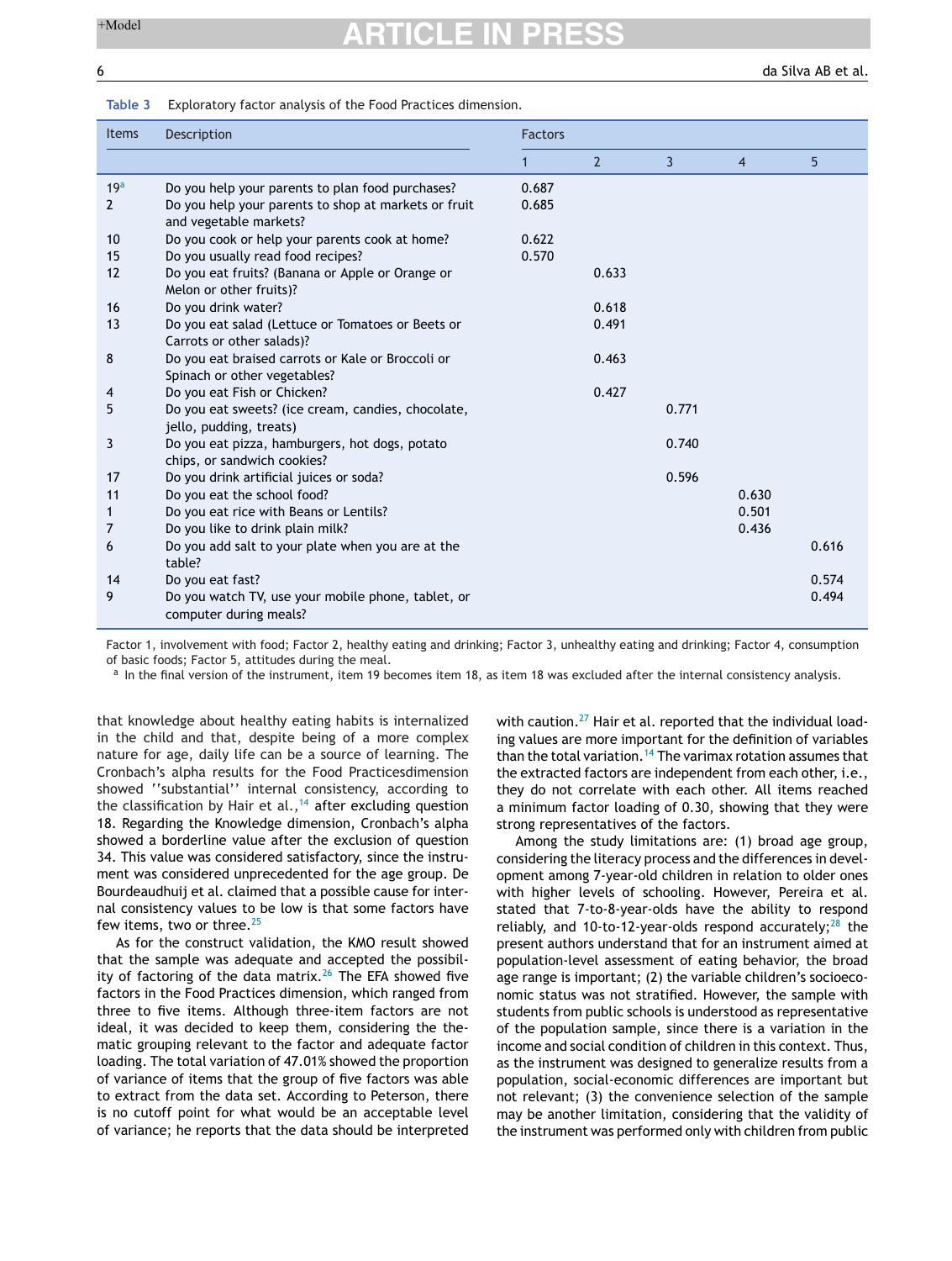<span id="page-5-0"></span>6 da Silva AB et al.

#### **Table 3** Exploratory factor analysis of the Food Practices dimension.

| <b>Items</b>    | Description                                                                    | <b>Factors</b> |                |       |       |       |
|-----------------|--------------------------------------------------------------------------------|----------------|----------------|-------|-------|-------|
|                 |                                                                                | 1              | $\overline{2}$ | 3     | 4     | 5     |
| 19 <sup>a</sup> | Do you help your parents to plan food purchases?                               | 0.687          |                |       |       |       |
| $\overline{2}$  | Do you help your parents to shop at markets or fruit<br>and vegetable markets? | 0.685          |                |       |       |       |
| 10              | Do you cook or help your parents cook at home?                                 | 0.622          |                |       |       |       |
| 15              | Do you usually read food recipes?                                              | 0.570          |                |       |       |       |
| 12              | Do you eat fruits? (Banana or Apple or Orange or<br>Melon or other fruits)?    |                | 0.633          |       |       |       |
| 16              | Do you drink water?                                                            |                | 0.618          |       |       |       |
| 13              | Do you eat salad (Lettuce or Tomatoes or Beets or<br>Carrots or other salads)? |                | 0.491          |       |       |       |
| 8               | Do you eat braised carrots or Kale or Broccoli or                              |                | 0.463          |       |       |       |
|                 | Spinach or other vegetables?                                                   |                |                |       |       |       |
| 4               | Do you eat Fish or Chicken?                                                    |                | 0.427          |       |       |       |
| 5               | Do you eat sweets? (ice cream, candies, chocolate,<br>jello, pudding, treats)  |                |                | 0.771 |       |       |
| 3               | Do you eat pizza, hamburgers, hot dogs, potato<br>chips, or sandwich cookies?  |                |                | 0.740 |       |       |
| 17              | Do you drink artificial juices or soda?                                        |                |                | 0.596 |       |       |
| 11              | Do you eat the school food?                                                    |                |                |       | 0.630 |       |
| 1               | Do you eat rice with Beans or Lentils?                                         |                |                |       | 0.501 |       |
| 7               | Do you like to drink plain milk?                                               |                |                |       | 0.436 |       |
| 6               | Do you add salt to your plate when you are at the<br>table?                    |                |                |       |       | 0.616 |
| 14              | Do you eat fast?                                                               |                |                |       |       | 0.574 |
| 9               | Do you watch TV, use your mobile phone, tablet, or<br>computer during meals?   |                |                |       |       | 0.494 |

Factor 1, involvement with food; Factor 2, healthy eating and drinking; Factor 3, unhealthy eating and drinking; Factor 4, consumption of basic foods; Factor 5, attitudes during the meal.

<sup>a</sup> In the final version of the instrument, item 19 becomes item 18, as item 18 was excluded after the internal consistency analysis.

that knowledge about healthy eating habits is internalized in the child and that, despite being of a more complex nature for age, daily life can be a source of learning. The Cronbach's alpha results for the Food Practicesdimension showed ''substantial'' internal consistency, according to the classification by Hair et al.,<sup>[14](#page-6-0)</sup> after excluding question 18. Regarding the Knowledge dimension, Cronbach's alpha showed a borderline value after the exclusion of question 34. This value was considered satisfactory, since the instrument was considered unprecedented for the age group. De Bourdeaudhuij et al. claimed that a possible cause for internal consistency values to be low is that some factors have few items, two or three.<sup>[25](#page-6-0)</sup>

As for the construct validation, the KMO result showed that the sample was adequate and accepted the possibility of factoring of the data matrix. $26$  The EFA showed five factors in the Food Practices dimension, which ranged from three to five items. Although three-item factors are not ideal, it was decided to keep them, considering the thematic grouping relevant to the factor and adequate factor loading. The total variation of 47.01% showed the proportion of variance of items that the group of five factors was able to extract from the data set. According to Peterson, there is no cutoff point for what would be an acceptable level of variance; he reports that the data should be interpreted with caution.<sup>[27](#page-6-0)</sup> Hair et al. reported that the individual loading values are more important for the definition of variables than the total variation.<sup>[14](#page-6-0)</sup> The varimax rotation assumes that the extracted factors are independent from each other, i.e., they do not correlate with each other. All items reached a minimum factor loading of 0.30, showing that they were strong representatives of the factors.

Among the study limitations are: (1) broad age group, considering the literacy process and the differences in development among 7-year-old children in relation to older ones with higher levels of schooling. However, Pereira et al. stated that 7-to-8-year-olds have the ability to respond reliably, and 10-to-12-year-olds respond accurately; $^{28}$  $^{28}$  $^{28}$  the present authors understand that for an instrument aimed at population-level assessment of eating behavior, the broad age range is important; (2) the variable children's socioeconomic status was not stratified. However, the sample with students from public schools is understood as representative of the population sample, since there is a variation in the income and social condition of children in this context. Thus, as the instrument was designed to generalize results from a population, social-economic differences are important but not relevant; (3) the convenience selection of the sample may be another limitation, considering that the validity of the instrument was performed only with children from public